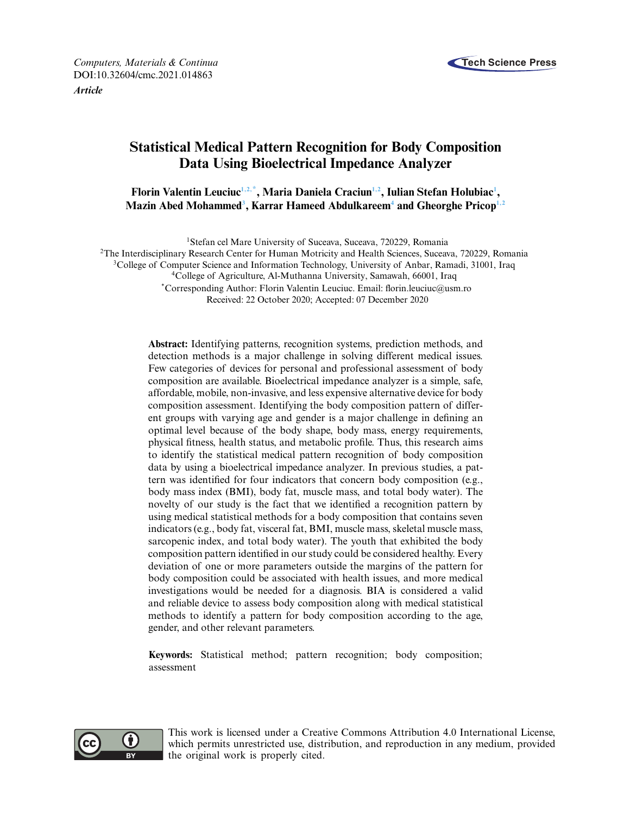

*Computers, Materials & Continua* **Tech Science Press** DOI[:10.32604/cmc.2021.014863](http://dx.doi.org/10.32604/cmc.2021.014863)

*Article*

# **Statistical Medical Pattern Recognition for Body Composition Data Using Bioelectrical Impedance Analyzer**

 $\mathbf{F}$ lorin Valentin Leuciuc<sup>1,[2](#page-0-1),\*</sup>, Maria Daniela Craciun<sup>1,2</sup>, Iulian Stefan Holubiac<sup>1</sup>, **Mazin Abed Mohamme[d3](#page-0-3) , Karrar Hameed Abdulkaree[m4](#page-0-4) and Gheorghe Prico[p1](#page-0-0)[,2](#page-0-1)**

<span id="page-0-0"></span><sup>1</sup>Stefan cel Mare University of Suceava, Suceava, 720229, Romania

<span id="page-0-1"></span>2The Interdisciplinary Research Center for Human Motricity and Health Sciences, Suceava, 720229, Romania

<span id="page-0-3"></span><sup>3</sup>College of Computer Science and Information Technology, University of Anbar, Ramadi, 31001, Iraq

<span id="page-0-4"></span>4College of Agriculture, Al-Muthanna University, Samawah, 66001, Iraq

<span id="page-0-2"></span>\*Corresponding Author: Florin Valentin Leuciuc. Email: florin.leuciuc@usm.ro Received: 22 October 2020; Accepted: 07 December 2020

**Abstract:** Identifying patterns, recognition systems, prediction methods, and detection methods is a major challenge in solving different medical issues. Few categories of devices for personal and professional assessment of body composition are available. Bioelectrical impedance analyzer is a simple, safe, affordable, mobile, non-invasive, and less expensive alternative device for body composition assessment. Identifying the body composition pattern of different groups with varying age and gender is a major challenge in defining an optimal level because of the body shape, body mass, energy requirements, physical fitness, health status, and metabolic profile. Thus, this research aims to identify the statistical medical pattern recognition of body composition data by using a bioelectrical impedance analyzer. In previous studies, a pattern was identified for four indicators that concern body composition (e.g., body mass index (BMI), body fat, muscle mass, and total body water). The novelty of our study is the fact that we identified a recognition pattern by using medical statistical methods for a body composition that contains seven indicators (e.g., body fat, visceral fat, BMI, muscle mass, skeletal muscle mass, sarcopenic index, and total body water). The youth that exhibited the body composition pattern identified in our study could be considered healthy. Every deviation of one or more parameters outside the margins of the pattern for body composition could be associated with health issues, and more medical investigations would be needed for a diagnosis. BIA is considered a valid and reliable device to assess body composition along with medical statistical methods to identify a pattern for body composition according to the age, gender, and other relevant parameters.

**Keywords:** Statistical method; pattern recognition; body composition; assessment



This work is licensed under a Creative Commons Attribution 4.0 International License, which permits unrestricted use, distribution, and reproduction in any medium, provided the original work is properly cited.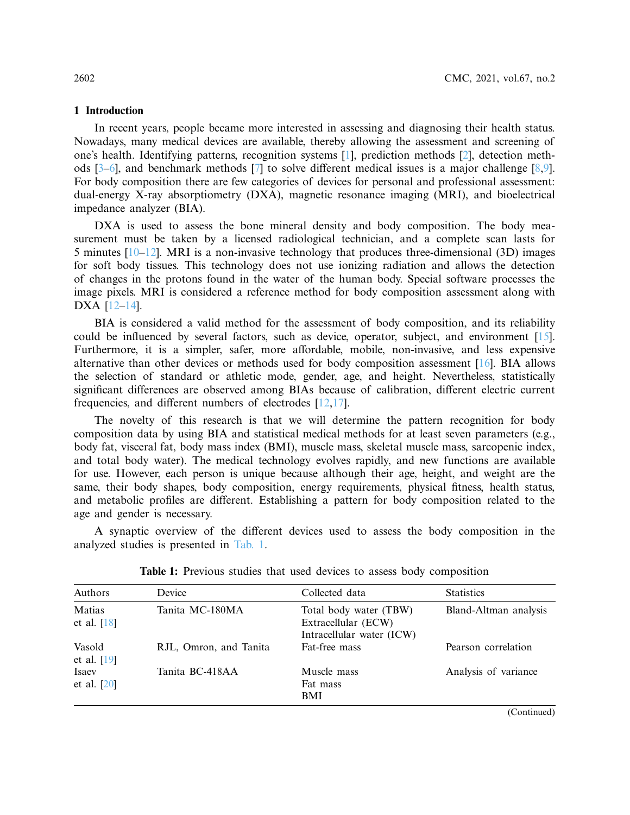## **1 Introduction**

In recent years, people became more interested in assessing and diagnosing their health status. Nowadays, many medical devices are available, thereby allowing the assessment and screening of one's health. Identifying patterns, recognition systems [\[1\]](#page-13-0), prediction methods [\[2](#page-13-1)], detection methods [\[3](#page-13-2)[–6\]](#page-14-0), and benchmark methods [\[7\]](#page-14-1) to solve different medical issues is a major challenge [\[8](#page-14-2)[,9\]](#page-14-3). For body composition there are few categories of devices for personal and professional assessment: dual-energy X-ray absorptiometry (DXA), magnetic resonance imaging (MRI), and bioelectrical impedance analyzer (BIA).

DXA is used to assess the bone mineral density and body composition. The body measurement must be taken by a licensed radiological technician, and a complete scan lasts for 5 minutes  $[10-12]$  $[10-12]$ . MRI is a non-invasive technology that produces three-dimensional (3D) images for soft body tissues. This technology does not use ionizing radiation and allows the detection of changes in the protons found in the water of the human body. Special software processes the image pixels. MRI is considered a reference method for body composition assessment along with DXA [\[12](#page-14-5)[–14\]](#page-14-6).

BIA is considered a valid method for the assessment of body composition, and its reliability could be influenced by several factors, such as device, operator, subject, and environment [\[15\]](#page-14-7). Furthermore, it is a simpler, safer, more affordable, mobile, non-invasive, and less expensive alternative than other devices or methods used for body composition assessment [\[16](#page-14-8)]. BIA allows the selection of standard or athletic mode, gender, age, and height. Nevertheless, statistically significant differences are observed among BIAs because of calibration, different electric current frequencies, and different numbers of electrodes [\[12](#page-14-5)[,17](#page-14-9)].

The novelty of this research is that we will determine the pattern recognition for body composition data by using BIA and statistical medical methods for at least seven parameters (e.g., body fat, visceral fat, body mass index (BMI), muscle mass, skeletal muscle mass, sarcopenic index, and total body water). The medical technology evolves rapidly, and new functions are available for use. However, each person is unique because although their age, height, and weight are the same, their body shapes, body composition, energy requirements, physical fitness, health status, and metabolic profiles are different. Establishing a pattern for body composition related to the age and gender is necessary.

A synaptic overview of the different devices used to assess the body composition in the analyzed studies is presented in [Tab. 1.](#page-1-0)

| Authors                 | Device                 | Collected data                                                             | <b>Statistics</b>     |  |  |
|-------------------------|------------------------|----------------------------------------------------------------------------|-----------------------|--|--|
| Matias<br>et al. $[18]$ | Tanita MC-180MA        | Total body water (TBW)<br>Extracellular (ECW)<br>Intracellular water (ICW) | Bland-Altman analysis |  |  |
| Vasold<br>et al. $[19]$ | RJL, Omron, and Tanita | Fat-free mass                                                              | Pearson correlation   |  |  |
| Isaev<br>et al. $[20]$  | Tanita BC-418AA        | Muscle mass<br>Fat mass<br><b>BMI</b>                                      | Analysis of variance  |  |  |

<span id="page-1-0"></span>**Table 1:** Previous studies that used devices to assess body composition

(Continued)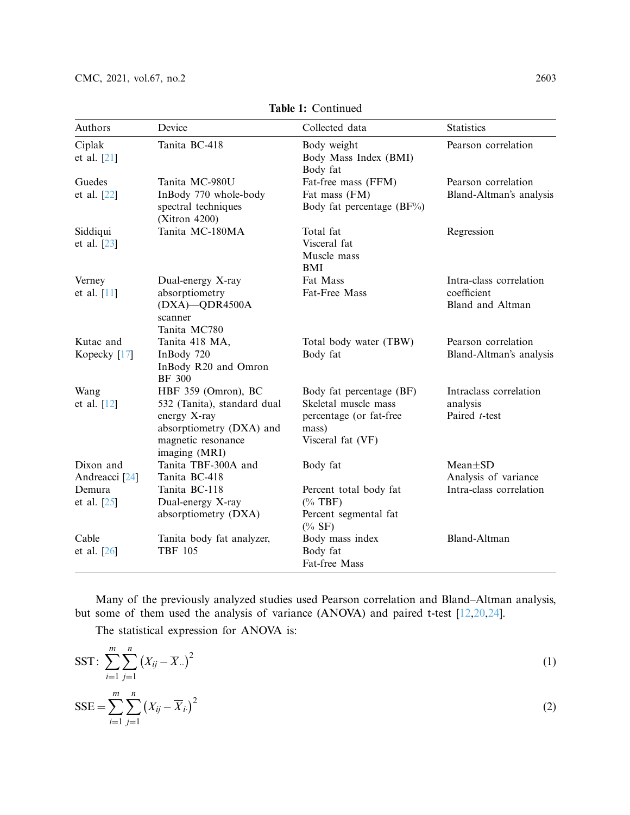| Authors                                | Device                                                                                                                                | Collected data                                                                                            | <b>Statistics</b>                                                 |
|----------------------------------------|---------------------------------------------------------------------------------------------------------------------------------------|-----------------------------------------------------------------------------------------------------------|-------------------------------------------------------------------|
| Ciplak<br>et al. $[21]$                | Tanita BC-418                                                                                                                         | Body weight<br>Body Mass Index (BMI)<br>Body fat                                                          | Pearson correlation                                               |
| Guedes<br>et al. [22]                  | Tanita MC-980U<br>InBody 770 whole-body<br>spectral techniques<br>(Xitron 4200)                                                       | Fat-free mass (FFM)<br>Fat mass (FM)<br>Body fat percentage $(BF\%)$                                      | Pearson correlation<br>Bland-Altman's analysis                    |
| Siddiqui<br>et al. [23]                | Tanita MC-180MA                                                                                                                       | Total fat<br>Visceral fat<br>Muscle mass<br>BMI                                                           | Regression                                                        |
| Verney<br>et al. $[11]$                | Dual-energy X-ray<br>absorptiometry<br>$(DXA)$ -QDR4500A<br>scanner<br>Tanita MC780                                                   | Fat Mass<br>Fat-Free Mass                                                                                 | Intra-class correlation<br>coefficient<br><b>Bland and Altman</b> |
| Kutac and<br>Kopecky [17]              | Tanita 418 MA,<br>InBody 720<br>InBody R20 and Omron<br><b>BF 300</b>                                                                 | Total body water (TBW)<br>Body fat                                                                        | Pearson correlation<br>Bland-Altman's analysis                    |
| Wang<br>et al. $[12]$                  | HBF 359 (Omron), BC<br>532 (Tanita), standard dual<br>energy X-ray<br>absorptiometry (DXA) and<br>magnetic resonance<br>imaging (MRI) | Body fat percentage (BF)<br>Skeletal muscle mass<br>percentage (or fat-free<br>mass)<br>Visceral fat (VF) | Intraclass correlation<br>analysis<br>Paired t-test               |
| Dixon and<br>Andreacci <sup>[24]</sup> | Tanita TBF-300A and<br>Tanita BC-418                                                                                                  | Body fat                                                                                                  | $Mean \pm SD$<br>Analysis of variance                             |
| Demura<br>et al. $[25]$                | Tanita BC-118<br>Dual-energy X-ray<br>absorptiometry (DXA)                                                                            | Percent total body fat<br>$(\%$ TBF)<br>Percent segmental fat<br>$(\%$ SF)                                | Intra-class correlation                                           |
| Cable<br>et al. $[26]$                 | Tanita body fat analyzer,<br><b>TBF 105</b>                                                                                           | Body mass index<br>Body fat<br>Fat-free Mass                                                              | <b>Bland-Altman</b>                                               |

**Table 1:** Continued

Many of the previously analyzed studies used Pearson correlation and Bland–Altman analysis, but some of them used the analysis of variance (ANOVA) and paired t-test [\[12](#page-14-5)[,20](#page-14-12)[,24\]](#page-15-3).

The statistical expression for ANOVA is:

$$
SST: \sum_{i=1}^{m} \sum_{j=1}^{n} (X_{ij} - \overline{X}_{..})^2
$$
  
\n
$$
SSE = \sum_{i=1}^{m} \sum_{j=1}^{n} (X_{ij} - \overline{X}_{i.})^2
$$
\n(1)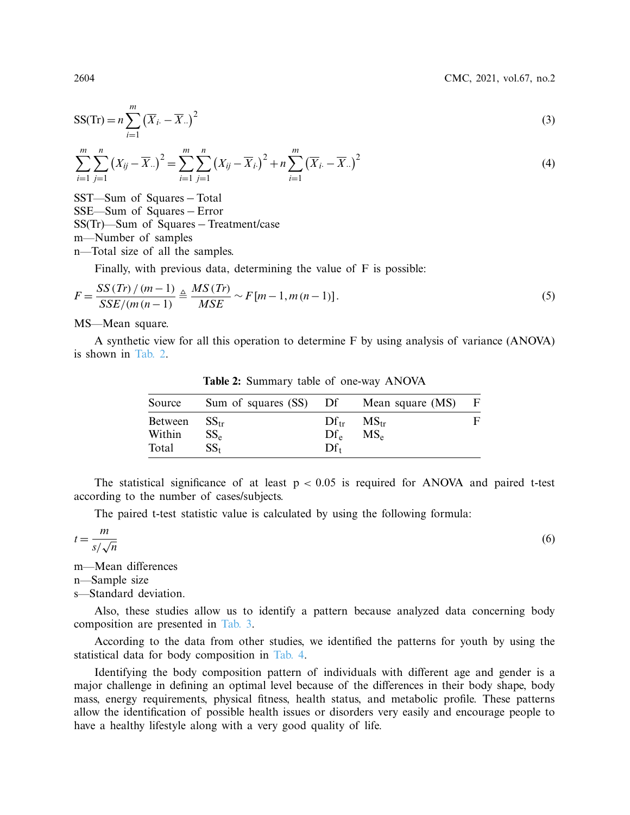2604 CMC, 2021, vol.67, no.2

$$
SS(\text{Tr}) = n \sum_{i=1}^{m} (\overline{X}_{i \cdot} - \overline{X}_{\cdot \cdot})^2
$$
 (3)

$$
\sum_{i=1}^{m} \sum_{j=1}^{n} (X_{ij} - \overline{X}_{..})^2 = \sum_{i=1}^{m} \sum_{j=1}^{n} (X_{ij} - \overline{X}_{i.})^2 + n \sum_{i=1}^{m} (\overline{X}_{i.} - \overline{X}_{..})^2
$$
(4)

SST—Sum of Squares – Total SSE—Sum of Squares – Error SS(Tr)—Sum of Squares − Treatment/case m—Number of samples n—Total size of all the samples.

Finally, with previous data, determining the value of F is possible:

$$
F = \frac{SS (Tr)/(m-1)}{SSE/(m (n-1))} \triangleq \frac{MS (Tr)}{MSE} \sim F[m-1, m (n-1)].
$$
\n(5)

MS—Mean square.

A synthetic view for all this operation to determine F by using analysis of variance (ANOVA) is shown in [Tab. 2.](#page-3-0)

| Source                     | Sum of squares (SS) Df Mean square (MS) |                       |                                            | F |
|----------------------------|-----------------------------------------|-----------------------|--------------------------------------------|---|
| Between<br>Within<br>Total | $SS_{tr}$<br>$SS_{\rm e}$<br>$SS_{t}$   | $\rm D f_e$<br>$Df_t$ | $Df_{tr}$ MS <sub>tr</sub><br>$MS_{\rm e}$ | F |

<span id="page-3-0"></span>**Table 2:** Summary table of one-way ANOVA

The statistical significance of at least  $p < 0.05$  is required for ANOVA and paired t-test according to the number of cases/subjects.

The paired t-test statistic value is calculated by using the following formula:

$$
t = \frac{m}{s/\sqrt{n}}
$$

m—Mean differences

n—Sample size

s—Standard deviation.

Also, these studies allow us to identify a pattern because analyzed data concerning body composition are presented in [Tab. 3.](#page-4-0)

According to the data from other studies, we identified the patterns for youth by using the statistical data for body composition in [Tab. 4.](#page-5-0)

Identifying the body composition pattern of individuals with different age and gender is a major challenge in defining an optimal level because of the differences in their body shape, body mass, energy requirements, physical fitness, health status, and metabolic profile. These patterns allow the identification of possible health issues or disorders very easily and encourage people to have a healthy lifestyle along with a very good quality of life.

(6)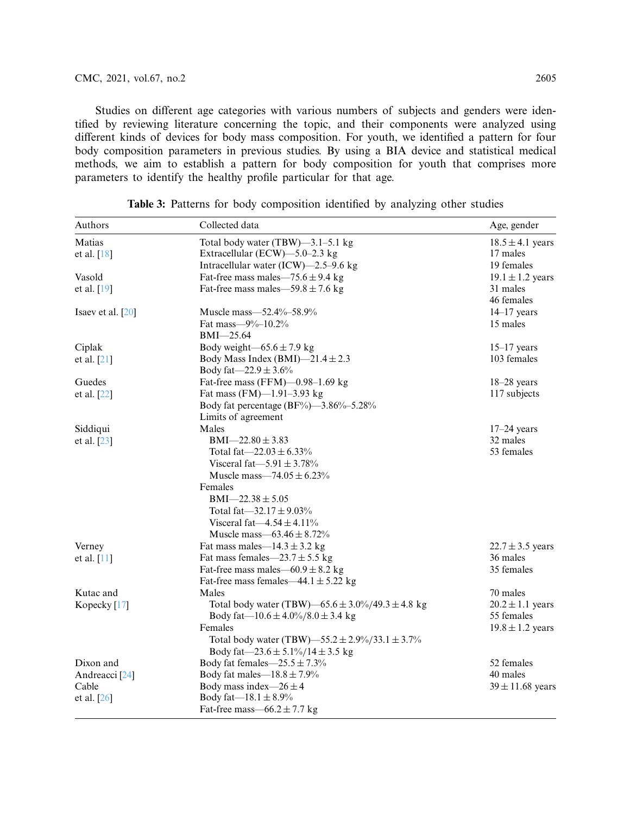Studies on different age categories with various numbers of subjects and genders were identified by reviewing literature concerning the topic, and their components were analyzed using different kinds of devices for body mass composition. For youth, we identified a pattern for four body composition parameters in previous studies. By using a BIA device and statistical medical methods, we aim to establish a pattern for body composition for youth that comprises more parameters to identify the healthy profile particular for that age.

| Authors                   | Collected data                                   | Age, gender          |
|---------------------------|--------------------------------------------------|----------------------|
| Matias                    | Total body water (TBW)-3.1-5.1 kg                | $18.5 \pm 4.1$ years |
| et al. $[18]$             | Extracellular (ECW)-5.0-2.3 kg                   | 17 males             |
|                           | Intracellular water (ICW)-2.5-9.6 kg             | 19 females           |
| Vasold                    | Fat-free mass males—75.6 $\pm$ 9.4 kg            | $19.1 \pm 1.2$ years |
| et al. [19]               | Fat-free mass males—59.8 $\pm$ 7.6 kg            | 31 males             |
|                           |                                                  | 46 females           |
| Isaev et al. $[20]$       | Muscle mass-52.4%-58.9%                          | $14-17$ years        |
|                           | Fat mass— $9\%$ -10.2%                           | 15 males             |
|                           | BMI-25.64                                        |                      |
| Ciplak                    | Body weight $-65.6 \pm 7.9$ kg                   | $15-17$ years        |
| et al. $[21]$             | Body Mass Index (BMI)-21.4 $\pm$ 2.3             | 103 females          |
|                           | Body fat $-22.9 \pm 3.6\%$                       |                      |
| Guedes                    | Fat-free mass (FFM)-0.98-1.69 kg                 | $18-28$ years        |
| et al. [22]               | Fat mass (FM)-1.91-3.93 kg                       | 117 subjects         |
|                           | Body fat percentage (BF%)—3.86%-5.28%            |                      |
|                           | Limits of agreement                              |                      |
| Siddiqui                  | Males                                            | $17-24$ years        |
| et al. [23]               | $BMI - 22.80 \pm 3.83$                           | 32 males             |
|                           | Total fat—22.03 $\pm$ 6.33%                      | 53 females           |
|                           | Visceral fat $-5.91 \pm 3.78\%$                  |                      |
|                           | Muscle mass—74.05 $\pm$ 6.23%                    |                      |
|                           | Females                                          |                      |
|                           | $BMI - 22.38 \pm 5.05$                           |                      |
|                           | Total fat $-32.17 \pm 9.03\%$                    |                      |
|                           | Visceral fat $-4.54 \pm 4.11\%$                  |                      |
|                           | Muscle mass $-63.46 \pm 8.72\%$                  |                      |
| Verney                    | Fat mass males— $14.3 \pm 3.2$ kg                | $22.7 \pm 3.5$ years |
| et al. [11]               | Fat mass females $-23.7 \pm 5.5$ kg              | 36 males             |
|                           | Fat-free mass males— $60.9 \pm 8.2$ kg           | 35 females           |
|                           | Fat-free mass females—44.1 $\pm$ 5.22 kg         |                      |
| Kutac and                 | Males                                            | 70 males             |
| Kopecky <sup>[17]</sup>   | Total body water (TBW)—65.6 ± 3.0%/49.3 ± 4.8 kg | $20.2 \pm 1.1$ years |
|                           | Body fat— $10.6 \pm 4.0\%/8.0 \pm 3.4$ kg        | 55 females           |
|                           | Females                                          | $19.8 \pm 1.2$ years |
|                           | Total body water (TBW)—55.2 ± 2.9%/33.1 ± 3.7%   |                      |
|                           | Body fat—23.6 ± 5.1%/14 ± 3.5 kg                 |                      |
| Dixon and                 | Body fat females $-25.5 \pm 7.3\%$               | 52 females           |
| Andreacci <sup>[24]</sup> | Body fat males— $18.8 \pm 7.9\%$                 | 40 males             |
| Cable                     | Body mass index— $26 \pm 4$                      | $39 \pm 11.68$ years |
| et al. [26]               | Body fat— $18.1 \pm 8.9\%$                       |                      |
|                           | Fat-free mass—66.2 $\pm$ 7.7 kg                  |                      |

<span id="page-4-0"></span>**Table 3:** Patterns for body composition identified by analyzing other studies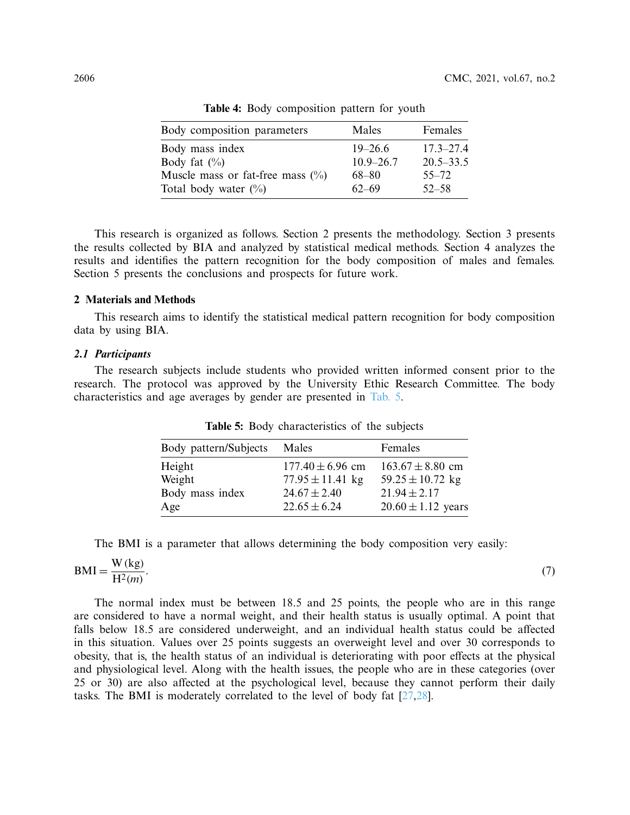| Body composition parameters        | Males         | Females       |
|------------------------------------|---------------|---------------|
| Body mass index                    | $19 - 26.6$   | $17.3 - 27.4$ |
| Body fat $(\% )$                   | $10.9 - 26.7$ | $20.5 - 33.5$ |
| Muscle mass or fat-free mass $(\%$ | 68–80         | $55 - 72$     |
| Total body water $(\%)$            | $62 - 69$     | $52 - 58$     |

<span id="page-5-0"></span>**Table 4:** Body composition pattern for youth

This research is organized as follows. Section 2 presents the methodology. Section 3 presents the results collected by BIA and analyzed by statistical medical methods. Section 4 analyzes the results and identifies the pattern recognition for the body composition of males and females. Section 5 presents the conclusions and prospects for future work.

## **2 Materials and Methods**

This research aims to identify the statistical medical pattern recognition for body composition data by using BIA.

# *2.1 Participants*

The research subjects include students who provided written informed consent prior to the research. The protocol was approved by the University Ethic Research Committee. The body characteristics and age averages by gender are presented in [Tab. 5.](#page-5-1)

| Body pattern/Subjects | Males                | Females                |
|-----------------------|----------------------|------------------------|
| Height                | $177.40 \pm 6.96$ cm | $163.67 \pm 8.80$ cm   |
| Weight                | $77.95 \pm 11.41$ kg | $59.25 \pm 10.72$ kg   |
| Body mass index       | $24.67 \pm 2.40$     | $21.94 + 2.17$         |
| Age                   | $22.65 \pm 6.24$     | $20.60 \pm 1.12$ years |

<span id="page-5-1"></span>**Table 5:** Body characteristics of the subjects

The BMI is a parameter that allows determining the body composition very easily:

$$
BMI = \frac{W(kg)}{H^2(m)}.
$$
\n(7)

The normal index must be between 18.5 and 25 points, the people who are in this range are considered to have a normal weight, and their health status is usually optimal. A point that falls below 18.5 are considered underweight, and an individual health status could be affected in this situation. Values over 25 points suggests an overweight level and over 30 corresponds to obesity, that is, the health status of an individual is deteriorating with poor effects at the physical and physiological level. Along with the health issues, the people who are in these categories (over 25 or 30) are also affected at the psychological level, because they cannot perform their daily tasks. The BMI is moderately correlated to the level of body fat [\[27](#page-15-6)[,28\]](#page-15-7).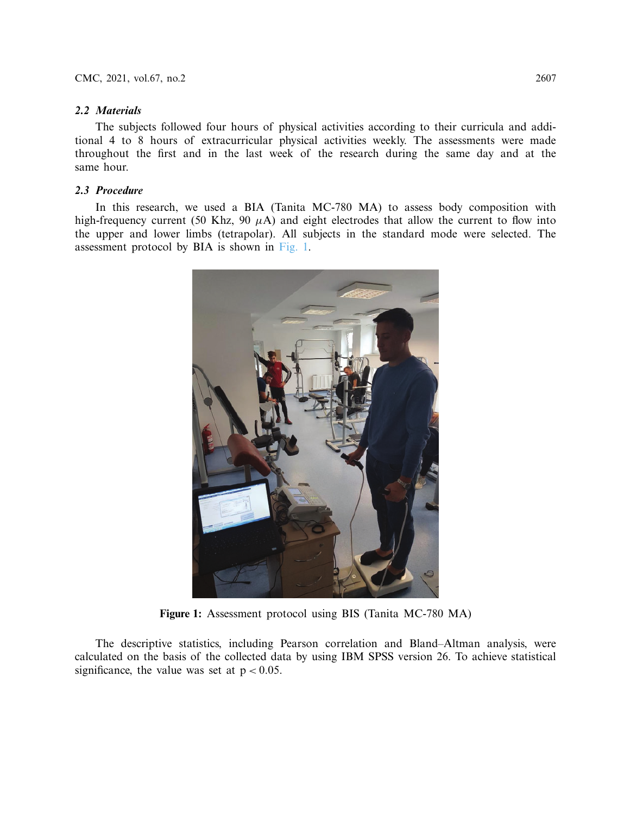# *2.2 Materials*

The subjects followed four hours of physical activities according to their curricula and additional 4 to 8 hours of extracurricular physical activities weekly. The assessments were made throughout the first and in the last week of the research during the same day and at the same hour.

# *2.3 Procedure*

In this research, we used a BIA (Tanita MC-780 MA) to assess body composition with high-frequency current (50 Khz, 90 *µ*A) and eight electrodes that allow the current to flow into the upper and lower limbs (tetrapolar). All subjects in the standard mode were selected. The assessment protocol by BIA is shown in [Fig. 1.](#page-6-0)



**Figure 1:** Assessment protocol using BIS (Tanita MC-780 MA)

<span id="page-6-0"></span>The descriptive statistics, including Pearson correlation and Bland–Altman analysis, were calculated on the basis of the collected data by using IBM SPSS version 26. To achieve statistical significance, the value was set at  $p < 0.05$ .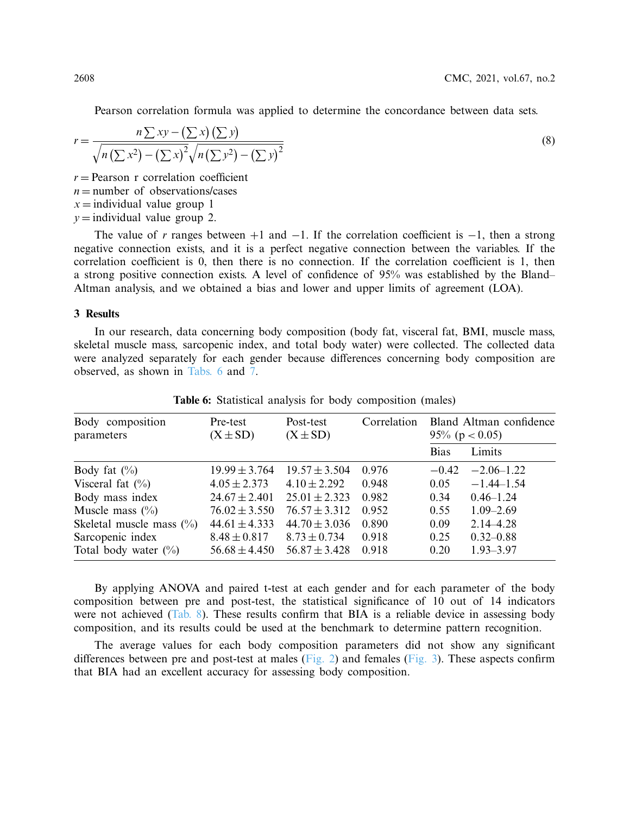Pearson correlation formula was applied to determine the concordance between data sets.

$$
r = \frac{n \sum xy - (\sum x)(\sum y)}{\sqrt{n(\sum x^2) - (\sum x)^2} \sqrt{n(\sum y^2) - (\sum y)^2}}
$$
\n(8)

 $r =$  Pearson r correlation coefficient

 $n =$  number of observations/cases

 $x =$ individual value group 1

 $y =$  individual value group 2.

The value of *r* ranges between  $+1$  and  $-1$ . If the correlation coefficient is  $-1$ , then a strong negative connection exists, and it is a perfect negative connection between the variables. If the correlation coefficient is 0, then there is no connection. If the correlation coefficient is 1, then a strong positive connection exists. A level of confidence of 95% was established by the Bland– Altman analysis, and we obtained a bias and lower and upper limits of agreement (LOA).

# **3 Results**

In our research, data concerning body composition (body fat, visceral fat, BMI, muscle mass, skeletal muscle mass, sarcopenic index, and total body water) were collected. The collected data were analyzed separately for each gender because differences concerning body composition are observed, as shown in [Tabs. 6](#page-7-0) and [7.](#page-8-0)

| Body composition<br>parameters | Pre-test<br>$(X \pm SD)$ | Post-test<br>$(X \pm SD)$ | Correlation |             | Bland Altman confidence<br>95% ( $p < 0.05$ ) |  |  |
|--------------------------------|--------------------------|---------------------------|-------------|-------------|-----------------------------------------------|--|--|
|                                |                          |                           |             | <b>Bias</b> | Limits                                        |  |  |
| Body fat $(\%)$                | $19.99 \pm 3.764$        | $19.57 \pm 3.504$         | 0.976       | $-0.42$     | $-2.06 - 1.22$                                |  |  |
| Visceral fat $(\% )$           | $4.05 \pm 2.373$         | $4.10 \pm 2.292$          | 0.948       | 0.05        | $-1.44 - 1.54$                                |  |  |
| Body mass index                | $24.67 \pm 2.401$        | $25.01 \pm 2.323$         | 0.982       | 0.34        | $0.46 - 1.24$                                 |  |  |
| Muscle mass $(\%$              | $76.02 \pm 3.550$        | $76.57 \pm 3.312$         | 0.952       | 0.55        | $1.09 - 2.69$                                 |  |  |
| Skeletal muscle mass $(\% )$   | $44.61 \pm 4.333$        | $44.70 \pm 3.036$         | 0.890       | 0.09        | $2.14 - 4.28$                                 |  |  |
| Sarcopenic index               | $8.48 \pm 0.817$         | $8.73 \pm 0.734$          | 0.918       | 0.25        | $0.32 - 0.88$                                 |  |  |
| Total body water $(\%)$        | $56.68 \pm 4.450$        | $56.87 \pm 3.428$         | 0.918       | 0.20        | $1.93 - 3.97$                                 |  |  |

<span id="page-7-0"></span>**Table 6:** Statistical analysis for body composition (males)

By applying ANOVA and paired t-test at each gender and for each parameter of the body composition between pre and post-test, the statistical significance of 10 out of 14 indicators were not achieved [\(Tab. 8\)](#page-8-1). These results confirm that BIA is a reliable device in assessing body composition, and its results could be used at the benchmark to determine pattern recognition.

The average values for each body composition parameters did not show any significant differences between pre and post-test at males [\(Fig. 2\)](#page-9-0) and females [\(Fig. 3\)](#page-10-0). These aspects confirm that BIA had an excellent accuracy for assessing body composition.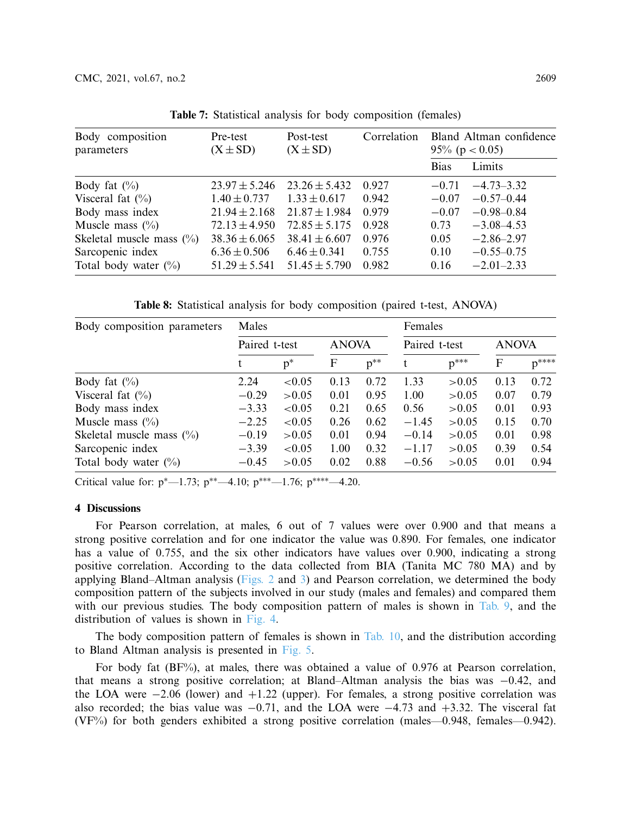| Body composition<br>parameters | Pre-test<br>$(X \pm SD)$ | Post-test<br>$(X \pm SD)$ | Correlation | Bland Altman confidence<br>95% ( $p < 0.05$ ) |                |
|--------------------------------|--------------------------|---------------------------|-------------|-----------------------------------------------|----------------|
|                                |                          |                           |             | <b>Bias</b>                                   | Limits         |
| Body fat $(\% )$               | $23.97 \pm 5.246$        | $23.26 \pm 5.432$         | 0.927       | $-0.71$                                       | $-4.73 - 3.32$ |
| Visceral fat $(\% )$           | $1.40 \pm 0.737$         | $1.33 \pm 0.617$          | 0.942       | $-0.07$                                       | $-0.57-0.44$   |
| Body mass index                | $21.94 \pm 2.168$        | $21.87 \pm 1.984$         | 0.979       | $-0.07$                                       | $-0.98 - 0.84$ |
| Muscle mass $(\%$              | $72.13 \pm 4.950$        | $72.85 \pm 5.175$         | 0.928       | 0.73                                          | $-3.08 - 4.53$ |
| Skeletal muscle mass $(\%$     | $38.36 \pm 6.065$        | $38.41 \pm 6.607$         | 0.976       | 0.05                                          | $-2.86 - 2.97$ |
| Sarcopenic index               | $6.36 \pm 0.506$         | $6.46 \pm 0.341$          | 0.755       | 0.10                                          | $-0.55 - 0.75$ |
| Total body water $(\%)$        | $51.29 \pm 5.541$        | $51.45 \pm 5.790$         | 0.982       | 0.16                                          | $-2.01 - 2.33$ |

<span id="page-8-0"></span>**Table 7:** Statistical analysis for body composition (females)

<span id="page-8-1"></span>**Table 8:** Statistical analysis for body composition (paired t-test, ANOVA)

| Body composition parameters | Males         |           |              |          | Females       |           |              |           |
|-----------------------------|---------------|-----------|--------------|----------|---------------|-----------|--------------|-----------|
|                             | Paired t-test |           | <b>ANOVA</b> |          | Paired t-test |           | <b>ANOVA</b> |           |
|                             |               | $p^*$     | F            | $p^{**}$ | t             | $p^{***}$ | F            | $p^{***}$ |
| Body fat $(\% )$            | 2.24          | ${<}0.05$ | 0.13         | 0.72     | 1.33          | > 0.05    | 0.13         | 0.72      |
| Visceral fat $(\%)$         | $-0.29$       | > 0.05    | 0.01         | 0.95     | 1.00          | > 0.05    | 0.07         | 0.79      |
| Body mass index             | $-3.33$       | ${<}0.05$ | 0.21         | 0.65     | 0.56          | > 0.05    | 0.01         | 0.93      |
| Muscle mass $(\%$           | $-2.25$       | ${<}0.05$ | 0.26         | 0.62     | $-1.45$       | > 0.05    | 0.15         | 0.70      |
| Skeletal muscle mass $(\%$  | $-0.19$       | > 0.05    | 0.01         | 0.94     | $-0.14$       | > 0.05    | 0.01         | 0.98      |
| Sarcopenic index            | $-3.39$       | ${<}0.05$ | 1.00         | 0.32     | $-1.17$       | > 0.05    | 0.39         | 0.54      |
| Total body water $(\%)$     | $-0.45$       | > 0.05    | 0.02         | 0.88     | $-0.56$       | > 0.05    | 0.01         | 0.94      |

Critical value for:  $p^*$ —1.73;  $p^{**}$ —4.10;  $p^{***}$ —1.76;  $p^{***}$ —4.20.

# **4 Discussions**

For Pearson correlation, at males, 6 out of 7 values were over 0.900 and that means a strong positive correlation and for one indicator the value was 0.890. For females, one indicator has a value of 0.755, and the six other indicators have values over 0.900, indicating a strong positive correlation. According to the data collected from BIA (Tanita MC 780 MA) and by applying Bland–Altman analysis [\(Figs. 2](#page-9-0) and [3\)](#page-10-0) and Pearson correlation, we determined the body composition pattern of the subjects involved in our study (males and females) and compared them with our previous studies. The body composition pattern of males is shown in [Tab. 9,](#page-11-0) and the distribution of values is shown in [Fig. 4.](#page-11-1)

The body composition pattern of females is shown in [Tab. 10,](#page-12-0) and the distribution according to Bland Altman analysis is presented in [Fig. 5.](#page-12-1)

For body fat (BF%), at males, there was obtained a value of 0.976 at Pearson correlation, that means a strong positive correlation; at Bland–Altman analysis the bias was −0.42, and the LOA were  $-2.06$  (lower) and  $+1.22$  (upper). For females, a strong positive correlation was also recorded; the bias value was −0.71, and the LOA were −4.73 and +3.32. The visceral fat (VF%) for both genders exhibited a strong positive correlation (males—0.948, females—0.942).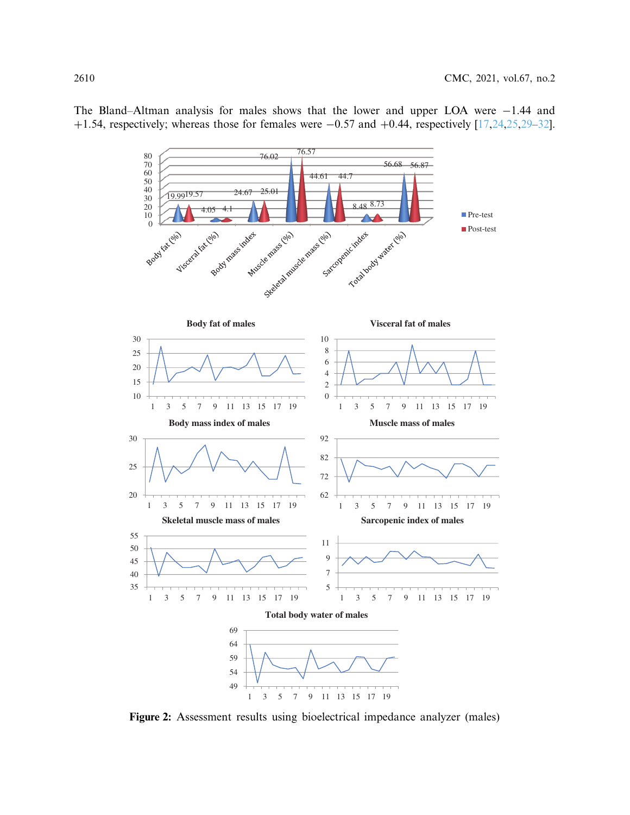The Bland–Altman analysis for males shows that the lower and upper LOA were −1.44 and +1.54, respectively; whereas those for females were  $-0.57$  and  $+0.44$ , respectively  $[17,24,25,29-32]$  $[17,24,25,29-32]$  $[17,24,25,29-32]$  $[17,24,25,29-32]$  $[17,24,25,29-32]$ .



<span id="page-9-0"></span>**Figure 2:** Assessment results using bioelectrical impedance analyzer (males)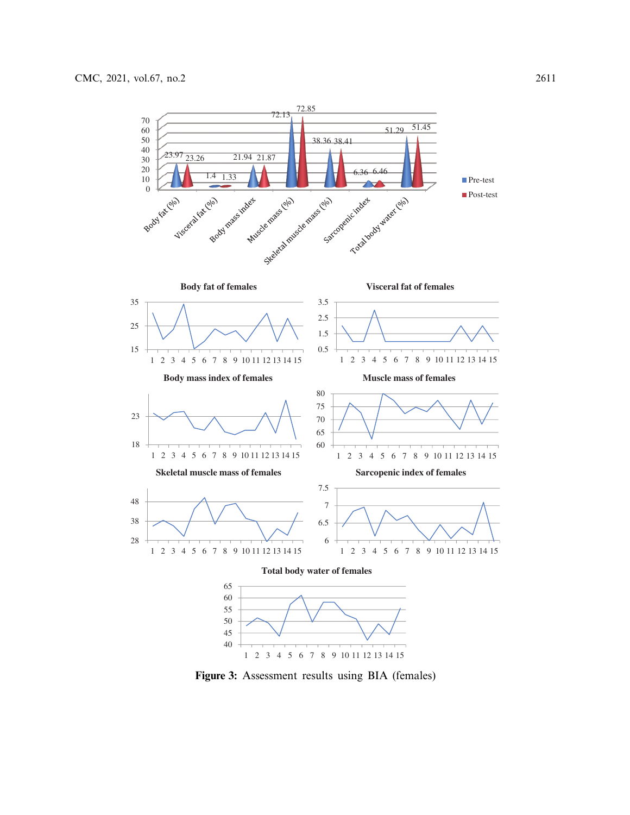

<span id="page-10-0"></span>1 2 3 4 5 6 7 8 9 10 11 12 13 14 15

**Figure 3:** Assessment results using BIA (females)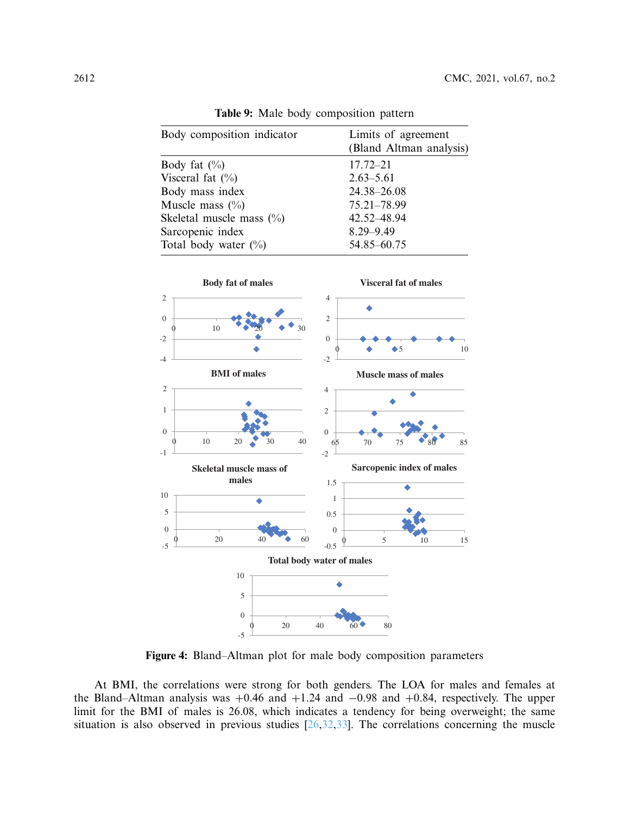| Body composition indicator | Limits of agreement<br>(Bland Altman analysis) |
|----------------------------|------------------------------------------------|
| Body fat $(\%$             | $17.72 - 21$                                   |
| Visceral fat $(\%)$        | $2.63 - 5.61$                                  |
| Body mass index            | 24.38-26.08                                    |
| Muscle mass $(\%$          | 75.21-78.99                                    |
| Skeletal muscle mass $(\%$ | 42.52-48.94                                    |
| Sarcopenic index           | $8.29 - 9.49$                                  |
| Total body water $(\%)$    | 54.85 - 60.75                                  |

<span id="page-11-0"></span>**Table 9:** Male body composition pattern



<span id="page-11-1"></span>**Figure 4:** Bland–Altman plot for male body composition parameters

At BMI, the correlations were strong for both genders. The LOA for males and females at the Bland–Altman analysis was  $+0.46$  and  $+1.24$  and  $-0.98$  and  $+0.84$ , respectively. The upper limit for the BMI of males is 26.08, which indicates a tendency for being overweight; the same situation is also observed in previous studies  $[26,32,33]$  $[26,32,33]$  $[26,32,33]$ . The correlations concerning the muscle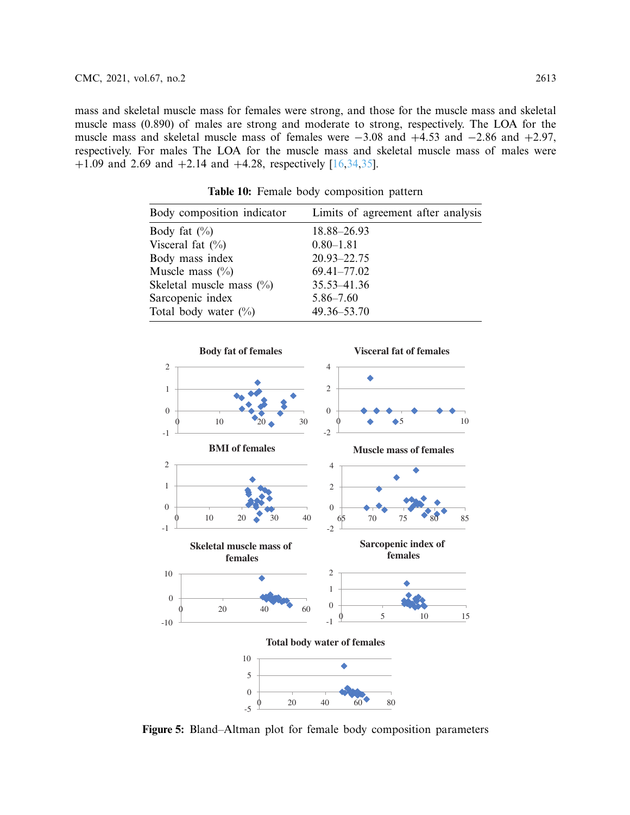mass and skeletal muscle mass for females were strong, and those for the muscle mass and skeletal muscle mass (0.890) of males are strong and moderate to strong, respectively. The LOA for the muscle mass and skeletal muscle mass of females were −3.08 and +4.53 and −2.86 and +2.97, respectively. For males The LOA for the muscle mass and skeletal muscle mass of males were +1.09 and 2.69 and +2.14 and +4.28, respectively  $[16,34,35]$  $[16,34,35]$  $[16,34,35]$  $[16,34,35]$ .

| Body composition indicator  | Limits of agreement after analysis |
|-----------------------------|------------------------------------|
| Body fat $(\%)$             | 18.88-26.93                        |
| Visceral fat $(\%)$         | $0.80 - 1.81$                      |
| Body mass index             | 20.93-22.75                        |
| Muscle mass $(\%$           | 69.41-77.02                        |
| Skeletal muscle mass $(\%)$ | 35.53 - 41.36                      |
| Sarcopenic index            | $5.86 - 7.60$                      |
| Total body water $(\%)$     | $49.36 - 53.70$                    |
|                             |                                    |

<span id="page-12-0"></span>**Table 10:** Female body composition pattern



<span id="page-12-1"></span>**Figure 5:** Bland–Altman plot for female body composition parameters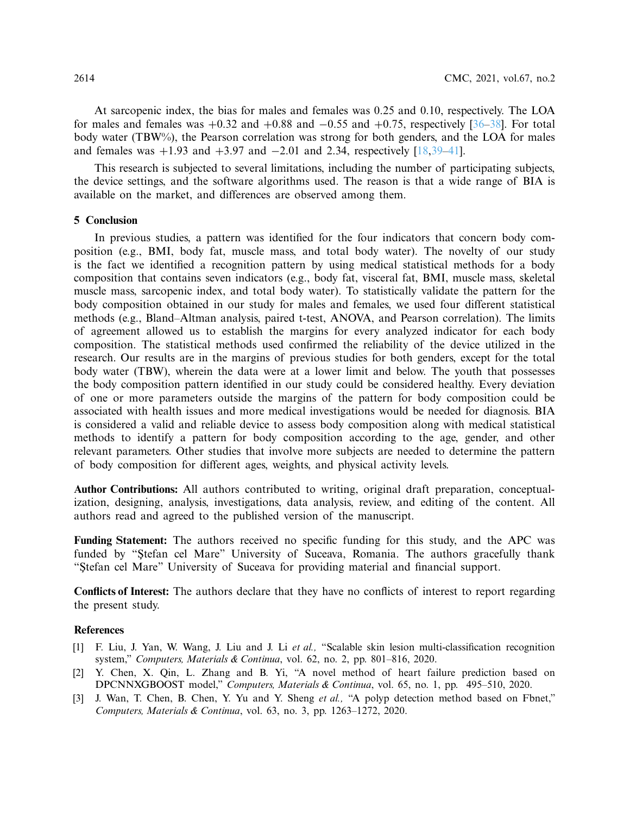At sarcopenic index, the bias for males and females was 0.25 and 0.10, respectively. The LOA for males and females was  $+0.32$  and  $+0.88$  and  $-0.55$  and  $+0.75$ , respectively [\[36](#page-15-13)[–38](#page-16-0)]. For total body water (TBW%), the Pearson correlation was strong for both genders, and the LOA for males and females was  $+1.93$  and  $+3.97$  and  $-2.01$  and 2.34, respectively [\[18](#page-14-10)[,39](#page-16-1)[–41\]](#page-16-2).

This research is subjected to several limitations, including the number of participating subjects, the device settings, and the software algorithms used. The reason is that a wide range of BIA is available on the market, and differences are observed among them.

### **5 Conclusion**

In previous studies, a pattern was identified for the four indicators that concern body composition (e.g., BMI, body fat, muscle mass, and total body water). The novelty of our study is the fact we identified a recognition pattern by using medical statistical methods for a body composition that contains seven indicators (e.g., body fat, visceral fat, BMI, muscle mass, skeletal muscle mass, sarcopenic index, and total body water). To statistically validate the pattern for the body composition obtained in our study for males and females, we used four different statistical methods (e.g., Bland–Altman analysis, paired t-test, ANOVA, and Pearson correlation). The limits of agreement allowed us to establish the margins for every analyzed indicator for each body composition. The statistical methods used confirmed the reliability of the device utilized in the research. Our results are in the margins of previous studies for both genders, except for the total body water (TBW), wherein the data were at a lower limit and below. The youth that possesses the body composition pattern identified in our study could be considered healthy. Every deviation of one or more parameters outside the margins of the pattern for body composition could be associated with health issues and more medical investigations would be needed for diagnosis. BIA is considered a valid and reliable device to assess body composition along with medical statistical methods to identify a pattern for body composition according to the age, gender, and other relevant parameters. Other studies that involve more subjects are needed to determine the pattern of body composition for different ages, weights, and physical activity levels.

**Author Contributions:** All authors contributed to writing, original draft preparation, conceptualization, designing, analysis, investigations, data analysis, review, and editing of the content. All authors read and agreed to the published version of the manuscript.

**Funding Statement:** The authors received no specific funding for this study, and the APC was funded by "Stefan cel Mare" University of Suceava, Romania. The authors gracefully thank "Stefan cel Mare" University of Suceava for providing material and financial support.

**Conflicts of Interest:** The authors declare that they have no conflicts of interest to report regarding the present study.

#### **References**

- <span id="page-13-0"></span>[1] F. Liu, J. Yan, W. Wang, J. Liu and J. Li *et al.,* "Scalable skin lesion multi-classification recognition system," *Computers, Materials & Continua*, vol. 62, no. 2, pp. 801–816, 2020.
- <span id="page-13-1"></span>[2] Y. Chen, X. Qin, L. Zhang and B. Yi, "A novel method of heart failure prediction based on DPCNNXGBOOST model," *Computers, Materials & Continua*, vol. 65, no. 1, pp. 495–510, 2020.
- <span id="page-13-2"></span>[3] J. Wan, T. Chen, B. Chen, Y. Yu and Y. Sheng *et al.,* "A polyp detection method based on Fbnet," *Computers, Materials & Continua*, vol. 63, no. 3, pp. 1263–1272, 2020.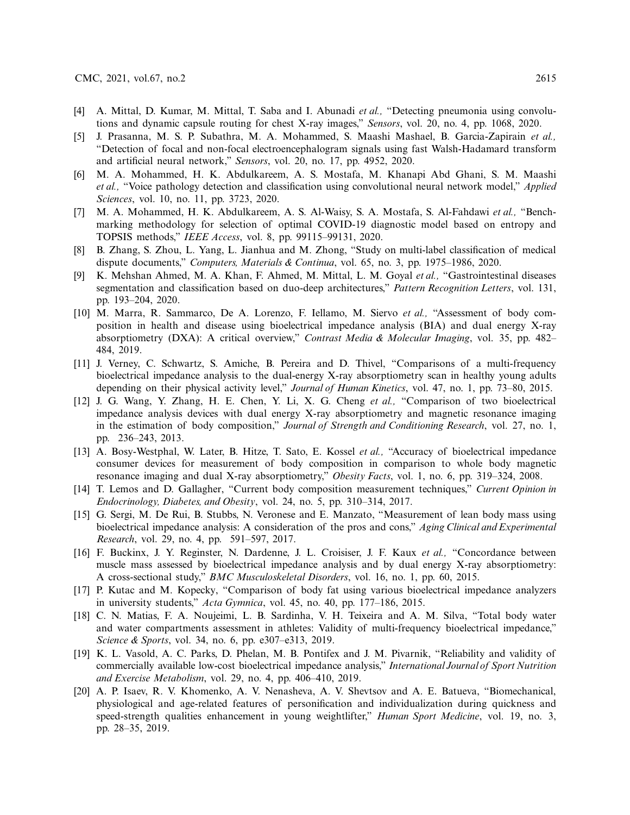- [4] A. Mittal, D. Kumar, M. Mittal, T. Saba and I. Abunadi *et al.,* "Detecting pneumonia using convolutions and dynamic capsule routing for chest X-ray images," *Sensors*, vol. 20, no. 4, pp. 1068, 2020.
- [5] J. Prasanna, M. S. P. Subathra, M. A. Mohammed, S. Maashi Mashael, B. Garcia-Zapirain *et al.,* "Detection of focal and non-focal electroencephalogram signals using fast Walsh-Hadamard transform and artificial neural network," *Sensors*, vol. 20, no. 17, pp. 4952, 2020.
- <span id="page-14-0"></span>[6] M. A. Mohammed, H. K. Abdulkareem, A. S. Mostafa, M. Khanapi Abd Ghani, S. M. Maashi *et al.,* "Voice pathology detection and classification using convolutional neural network model," *Applied Sciences*, vol. 10, no. 11, pp. 3723, 2020.
- <span id="page-14-1"></span>[7] M. A. Mohammed, H. K. Abdulkareem, A. S. Al-Waisy, S. A. Mostafa, S. Al-Fahdawi *et al.,* "Benchmarking methodology for selection of optimal COVID-19 diagnostic model based on entropy and TOPSIS methods," *IEEE Access*, vol. 8, pp. 99115–99131, 2020.
- <span id="page-14-2"></span>[8] B. Zhang, S. Zhou, L. Yang, L. Jianhua and M. Zhong, "Study on multi-label classification of medical dispute documents," *Computers, Materials & Continua*, vol. 65, no. 3, pp. 1975–1986, 2020.
- <span id="page-14-3"></span>[9] K. Mehshan Ahmed, M. A. Khan, F. Ahmed, M. Mittal, L. M. Goyal *et al.,* "Gastrointestinal diseases segmentation and classification based on duo-deep architectures," *Pattern Recognition Letters*, vol. 131, pp. 193–204, 2020.
- <span id="page-14-4"></span>[10] M. Marra, R. Sammarco, De A. Lorenzo, F. Iellamo, M. Siervo *et al.,* "Assessment of body composition in health and disease using bioelectrical impedance analysis (BIA) and dual energy X-ray absorptiometry (DXA): A critical overview," *Contrast Media & Molecular Imaging*, vol. 35, pp. 482– 484, 2019.
- <span id="page-14-13"></span>[11] J. Verney, C. Schwartz, S. Amiche, B. Pereira and D. Thivel, "Comparisons of a multi-frequency bioelectrical impedance analysis to the dual-energy X-ray absorptiometry scan in healthy young adults depending on their physical activity level," *Journal of Human Kinetics*, vol. 47, no. 1, pp. 73–80, 2015.
- <span id="page-14-5"></span>[12] J. G. Wang, Y. Zhang, H. E. Chen, Y. Li, X. G. Cheng *et al.,* "Comparison of two bioelectrical impedance analysis devices with dual energy X-ray absorptiometry and magnetic resonance imaging in the estimation of body composition," *Journal of Strength and Conditioning Research*, vol. 27, no. 1, pp. 236–243, 2013.
- [13] A. Bosy-Westphal, W. Later, B. Hitze, T. Sato, E. Kossel *et al.,* "Accuracy of bioelectrical impedance consumer devices for measurement of body composition in comparison to whole body magnetic resonance imaging and dual X-ray absorptiometry," *Obesity Facts*, vol. 1, no. 6, pp. 319–324, 2008.
- <span id="page-14-6"></span>[14] T. Lemos and D. Gallagher, "Current body composition measurement techniques," *Current Opinion in Endocrinology, Diabetes, and Obesity*, vol. 24, no. 5, pp. 310–314, 2017.
- <span id="page-14-7"></span>[15] G. Sergi, M. De Rui, B. Stubbs, N. Veronese and E. Manzato, "Measurement of lean body mass using bioelectrical impedance analysis: A consideration of the pros and cons," *Aging Clinical and Experimental Research*, vol. 29, no. 4, pp. 591–597, 2017.
- <span id="page-14-8"></span>[16] F. Buckinx, J. Y. Reginster, N. Dardenne, J. L. Croisiser, J. F. Kaux *et al.,* "Concordance between muscle mass assessed by bioelectrical impedance analysis and by dual energy X-ray absorptiometry: A cross-sectional study," *BMC Musculoskeletal Disorders*, vol. 16, no. 1, pp. 60, 2015.
- <span id="page-14-9"></span>[17] P. Kutac and M. Kopecky, "Comparison of body fat using various bioelectrical impedance analyzers in university students," *Acta Gymnica*, vol. 45, no. 40, pp. 177–186, 2015.
- <span id="page-14-10"></span>[18] C. N. Matias, F. A. Noujeimi, L. B. Sardinha, V. H. Teixeira and A. M. Silva, "Total body water and water compartments assessment in athletes: Validity of multi-frequency bioelectrical impedance," *Science & Sports*, vol. 34, no. 6, pp. e307–e313, 2019.
- <span id="page-14-11"></span>[19] K. L. Vasold, A. C. Parks, D. Phelan, M. B. Pontifex and J. M. Pivarnik, "Reliability and validity of commercially available low-cost bioelectrical impedance analysis," *International Journal of Sport Nutrition and Exercise Metabolism*, vol. 29, no. 4, pp. 406–410, 2019.
- <span id="page-14-12"></span>[20] A. P. Isaev, R. V. Khomenko, A. V. Nenasheva, A. V. Shevtsov and A. E. Batueva, "Biomechanical, physiological and age-related features of personification and individualization during quickness and speed-strength qualities enhancement in young weightlifter," *Human Sport Medicine*, vol. 19, no. 3, pp. 28–35, 2019.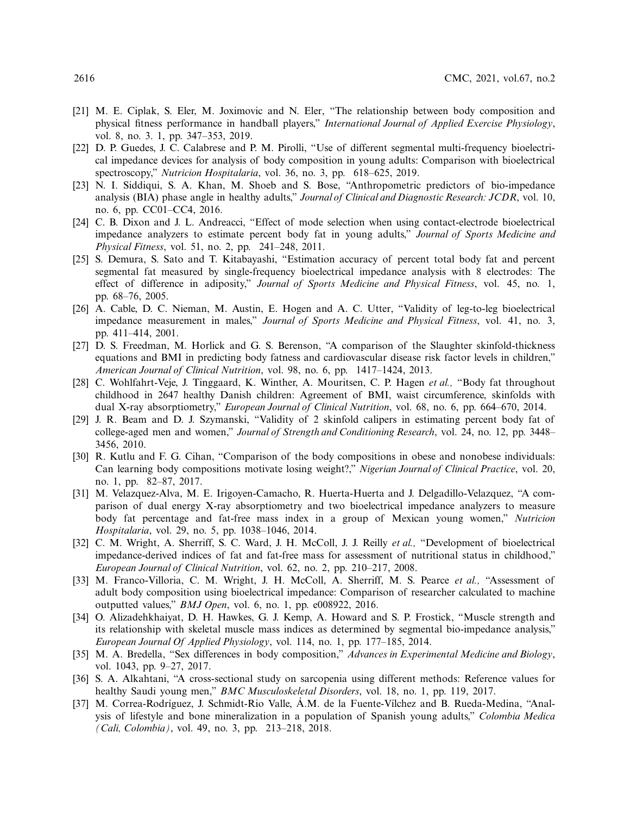- <span id="page-15-0"></span>[21] M. E. Ciplak, S. Eler, M. Joximovic and N. Eler, "The relationship between body composition and physical fitness performance in handball players," *International Journal of Applied Exercise Physiology*, vol. 8, no. 3. 1, pp. 347–353, 2019.
- <span id="page-15-1"></span>[22] D. P. Guedes, J. C. Calabrese and P. M. Pirolli, "Use of different segmental multi-frequency bioelectrical impedance devices for analysis of body composition in young adults: Comparison with bioelectrical spectroscopy," *Nutricion Hospitalaria*, vol. 36, no. 3, pp. 618–625, 2019.
- <span id="page-15-2"></span>[23] N. I. Siddiqui, S. A. Khan, M. Shoeb and S. Bose, "Anthropometric predictors of bio-impedance analysis (BIA) phase angle in healthy adults," *Journal of Clinical and Diagnostic Research: JCDR*, vol. 10, no. 6, pp. CC01–CC4, 2016.
- <span id="page-15-3"></span>[24] C. B. Dixon and J. L. Andreacci, "Effect of mode selection when using contact-electrode bioelectrical impedance analyzers to estimate percent body fat in young adults," *Journal of Sports Medicine and Physical Fitness*, vol. 51, no. 2, pp. 241–248, 2011.
- <span id="page-15-4"></span>[25] S. Demura, S. Sato and T. Kitabayashi, "Estimation accuracy of percent total body fat and percent segmental fat measured by single-frequency bioelectrical impedance analysis with 8 electrodes: The effect of difference in adiposity," *Journal of Sports Medicine and Physical Fitness*, vol. 45, no. 1, pp. 68–76, 2005.
- <span id="page-15-5"></span>[26] A. Cable, D. C. Nieman, M. Austin, E. Hogen and A. C. Utter, "Validity of leg-to-leg bioelectrical impedance measurement in males," *Journal of Sports Medicine and Physical Fitness*, vol. 41, no. 3, pp. 411–414, 2001.
- <span id="page-15-6"></span>[27] D. S. Freedman, M. Horlick and G. S. Berenson, "A comparison of the Slaughter skinfold-thickness equations and BMI in predicting body fatness and cardiovascular disease risk factor levels in children," *American Journal of Clinical Nutrition*, vol. 98, no. 6, pp. 1417–1424, 2013.
- <span id="page-15-7"></span>[28] C. Wohlfahrt-Veje, J. Tinggaard, K. Winther, A. Mouritsen, C. P. Hagen *et al.,* "Body fat throughout childhood in 2647 healthy Danish children: Agreement of BMI, waist circumference, skinfolds with dual X-ray absorptiometry," *European Journal of Clinical Nutrition*, vol. 68, no. 6, pp. 664–670, 2014.
- <span id="page-15-8"></span>[29] J. R. Beam and D. J. Szymanski, "Validity of 2 skinfold calipers in estimating percent body fat of college-aged men and women," *Journal of Strength and Conditioning Research*, vol. 24, no. 12, pp. 3448– 3456, 2010.
- [30] R. Kutlu and F. G. Cihan, "Comparison of the body compositions in obese and nonobese individuals: Can learning body compositions motivate losing weight?," *Nigerian Journal of Clinical Practice*, vol. 20, no. 1, pp. 82–87, 2017.
- [31] M. Velazquez-Alva, M. E. Irigoyen-Camacho, R. Huerta-Huerta and J. Delgadillo-Velazquez, "A comparison of dual energy X-ray absorptiometry and two bioelectrical impedance analyzers to measure body fat percentage and fat-free mass index in a group of Mexican young women," *Nutricion Hospitalaria*, vol. 29, no. 5, pp. 1038–1046, 2014.
- <span id="page-15-9"></span>[32] C. M. Wright, A. Sherriff, S. C. Ward, J. H. McColl, J. J. Reilly *et al.,* "Development of bioelectrical impedance-derived indices of fat and fat-free mass for assessment of nutritional status in childhood," *European Journal of Clinical Nutrition*, vol. 62, no. 2, pp. 210–217, 2008.
- <span id="page-15-10"></span>[33] M. Franco-Villoria, C. M. Wright, J. H. McColl, A. Sherriff, M. S. Pearce *et al.,* "Assessment of adult body composition using bioelectrical impedance: Comparison of researcher calculated to machine outputted values," *BMJ Open*, vol. 6, no. 1, pp. e008922, 2016.
- <span id="page-15-11"></span>[34] O. Alizadehkhaiyat, D. H. Hawkes, G. J. Kemp, A. Howard and S. P. Frostick, "Muscle strength and its relationship with skeletal muscle mass indices as determined by segmental bio-impedance analysis," *European Journal Of Applied Physiology*, vol. 114, no. 1, pp. 177–185, 2014.
- <span id="page-15-12"></span>[35] M. A. Bredella, "Sex differences in body composition," *Advances in Experimental Medicine and Biology*, vol. 1043, pp. 9–27, 2017.
- <span id="page-15-13"></span>[36] S. A. Alkahtani, "A cross-sectional study on sarcopenia using different methods: Reference values for healthy Saudi young men," *BMC Musculoskeletal Disorders*, vol. 18, no. 1, pp. 119, 2017.
- [37] M. Correa-Rodríguez, J. Schmidt-Rio Valle, Á.M. de la Fuente-Vílchez and B. Rueda-Medina, "Analysis of lifestyle and bone mineralization in a population of Spanish young adults," *Colombia Medica (Cali, Colombia)*, vol. 49, no. 3, pp. 213–218, 2018.